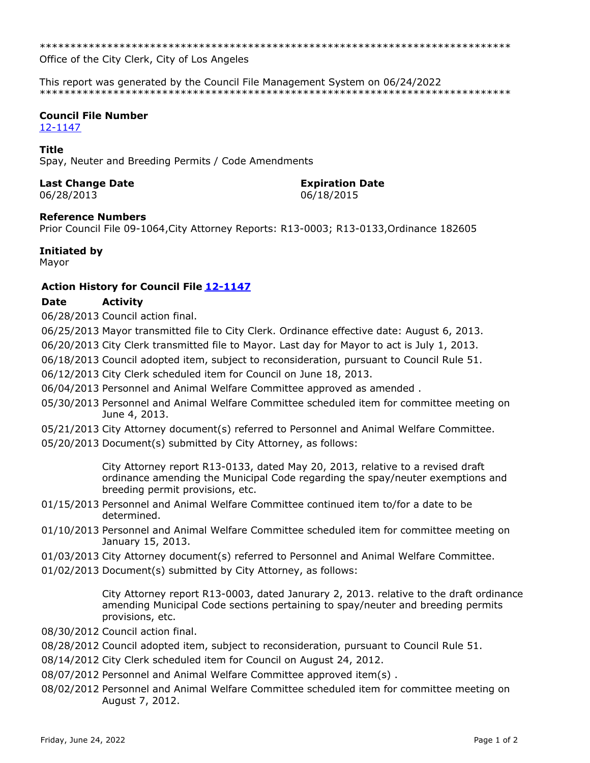Office of the City Clerk, City of Los Angeles

This report was generated by the Council File Management System on 06/24/2022 

# **Council File Number**

12-1147

#### **Title**

Spay, Neuter and Breeding Permits / Code Amendments

## **Last Change Date**

06/28/2013

# **Expiration Date**

06/18/2015

## **Reference Numbers**

Prior Council File 09-1064, City Attorney Reports: R13-0003; R13-0133, Ordinance 182605

#### Initiated by

Mayor

## Action History for Council File 12-1147

#### **Activity** Date

06/28/2013 Council action final.

06/25/2013 Mayor transmitted file to City Clerk. Ordinance effective date: August 6, 2013.

06/20/2013 City Clerk transmitted file to Mayor. Last day for Mayor to act is July 1, 2013.

06/18/2013 Council adopted item, subject to reconsideration, pursuant to Council Rule 51.

06/12/2013 City Clerk scheduled item for Council on June 18, 2013.

06/04/2013 Personnel and Animal Welfare Committee approved as amended.

- 05/30/2013 Personnel and Animal Welfare Committee scheduled item for committee meeting on June 4, 2013.
- 05/21/2013 City Attorney document(s) referred to Personnel and Animal Welfare Committee.
- 05/20/2013 Document(s) submitted by City Attorney, as follows:

City Attorney report R13-0133, dated May 20, 2013, relative to a revised draft ordinance amending the Municipal Code regarding the spay/neuter exemptions and breeding permit provisions, etc.

- 01/15/2013 Personnel and Animal Welfare Committee continued item to/for a date to be determined.
- 01/10/2013 Personnel and Animal Welfare Committee scheduled item for committee meeting on January 15, 2013.
- 01/03/2013 City Attorney document(s) referred to Personnel and Animal Welfare Committee.
- 01/02/2013 Document(s) submitted by City Attorney, as follows:

City Attorney report R13-0003, dated Janurary 2, 2013. relative to the draft ordinance amending Municipal Code sections pertaining to spay/neuter and breeding permits provisions, etc.

08/30/2012 Council action final.

- 08/28/2012 Council adopted item, subject to reconsideration, pursuant to Council Rule 51.
- 08/14/2012 City Clerk scheduled item for Council on August 24, 2012.
- 08/07/2012 Personnel and Animal Welfare Committee approved item(s).
- 08/02/2012 Personnel and Animal Welfare Committee scheduled item for committee meeting on August 7, 2012.